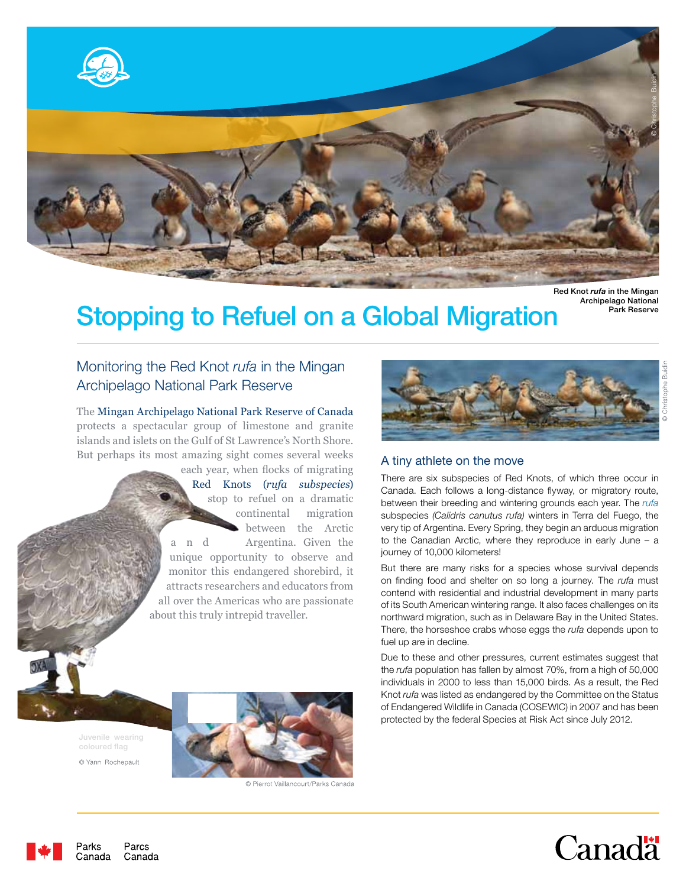

Red Knot *rufa* in the Mingan Archipelago National

# Stopping to Refuel on a Global Migration FRAK Reserve

## Monitoring the Red Knot *rufa* in the Mingan Archipelago National Park Reserve

The Mingan Archipelago National Park Reserve of Canada protects a spectacular group of limestone and granite islands and islets on the Gulf of St Lawrence's North Shore. But perhaps its most amazing sight comes several weeks

> each year, when flocks of migrating Red Knots (*rufa subspecies*) stop to refuel on a dramatic continental migration between the Arctic a n d Argentina. Given the unique opportunity to observe and monitor this endangered shorebird, it attracts researchers and educators from all over the Americas who are passionate about this truly intrepid traveller.



### A tiny athlete on the move

There are six subspecies of Red Knots, of which three occur in Canada. Each follows a long-distance flyway, or migratory route, between their breeding and wintering grounds each year. The *rufa*  subspecies *(Calidris canutus rufa)* winters in Terra del Fuego, the very tip of Argentina. Every Spring, they begin an arduous migration to the Canadian Arctic, where they reproduce in early June – a journey of 10,000 kilometers!

But there are many risks for a species whose survival depends on finding food and shelter on so long a journey. The *rufa* must contend with residential and industrial development in many parts of its South American wintering range. It also faces challenges on its northward migration, such as in Delaware Bay in the United States. There, the horseshoe crabs whose eggs the *rufa* depends upon to fuel up are in decline.

Due to these and other pressures, current estimates suggest that the *rufa* population has fallen by almost 70%, from a high of 50,000 individuals in 2000 to less than 15,000 birds. As a result, the Red Knot *rufa* was listed as endangered by the Committee on the Status of Endangered Wildlife in Canada (COSEWIC) in 2007 and has been protected by the federal Species at Risk Act since July 2012.

coloured flag © Yann Rochepault



© Pierrot Vaillancourt/Parks Canada